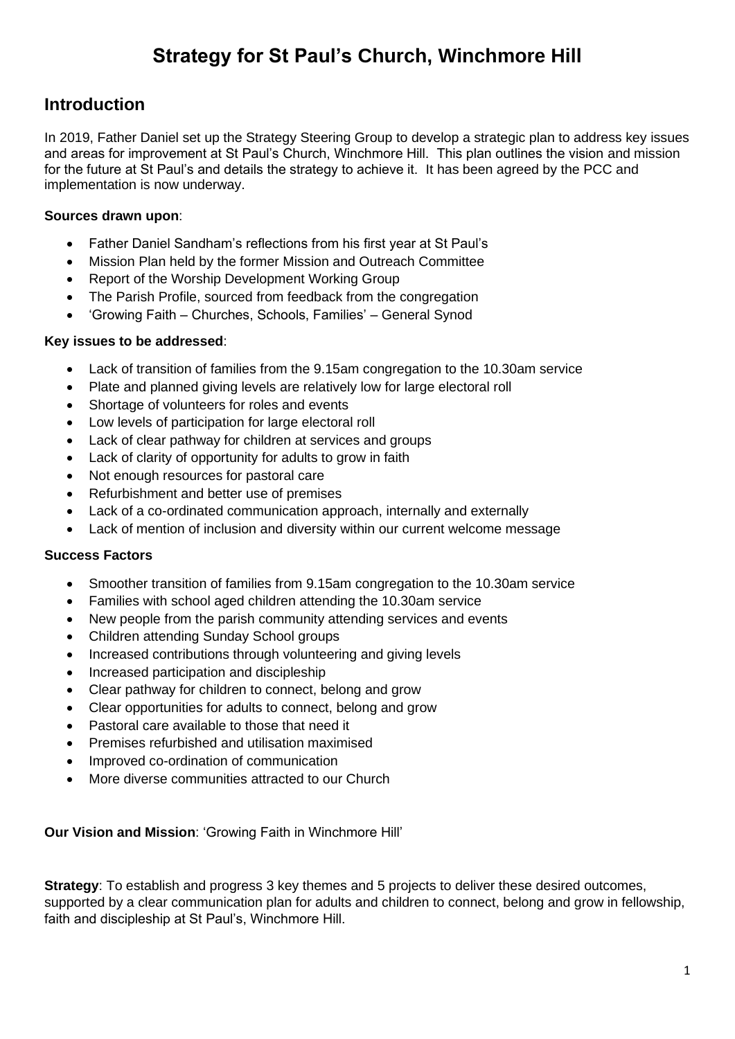### **Strategy for St Paul's Church, Winchmore Hill**

### **Introduction**

In 2019, Father Daniel set up the Strategy Steering Group to develop a strategic plan to address key issues and areas for improvement at St Paul's Church, Winchmore Hill. This plan outlines the vision and mission for the future at St Paul's and details the strategy to achieve it. It has been agreed by the PCC and implementation is now underway.

### **Sources drawn upon**:

- Father Daniel Sandham's reflections from his first year at St Paul's
- Mission Plan held by the former Mission and Outreach Committee
- Report of the Worship Development Working Group
- The Parish Profile, sourced from feedback from the congregation
- 'Growing Faith Churches, Schools, Families' General Synod

### **Key issues to be addressed**:

- Lack of transition of families from the 9.15am congregation to the 10.30am service
- Plate and planned giving levels are relatively low for large electoral roll
- Shortage of volunteers for roles and events
- Low levels of participation for large electoral roll
- Lack of clear pathway for children at services and groups
- Lack of clarity of opportunity for adults to grow in faith
- Not enough resources for pastoral care
- Refurbishment and better use of premises
- Lack of a co-ordinated communication approach, internally and externally
- Lack of mention of inclusion and diversity within our current welcome message

### **Success Factors**

- Smoother transition of families from 9.15am congregation to the 10.30am service
- Families with school aged children attending the 10.30am service
- New people from the parish community attending services and events
- Children attending Sunday School groups
- Increased contributions through volunteering and giving levels
- Increased participation and discipleship
- Clear pathway for children to connect, belong and grow
- Clear opportunities for adults to connect, belong and grow
- Pastoral care available to those that need it
- Premises refurbished and utilisation maximised
- Improved co-ordination of communication
- More diverse communities attracted to our Church

**Our Vision and Mission**: 'Growing Faith in Winchmore Hill'

**Strategy:** To establish and progress 3 key themes and 5 projects to deliver these desired outcomes, supported by a clear communication plan for adults and children to connect, belong and grow in fellowship, faith and discipleship at St Paul's, Winchmore Hill.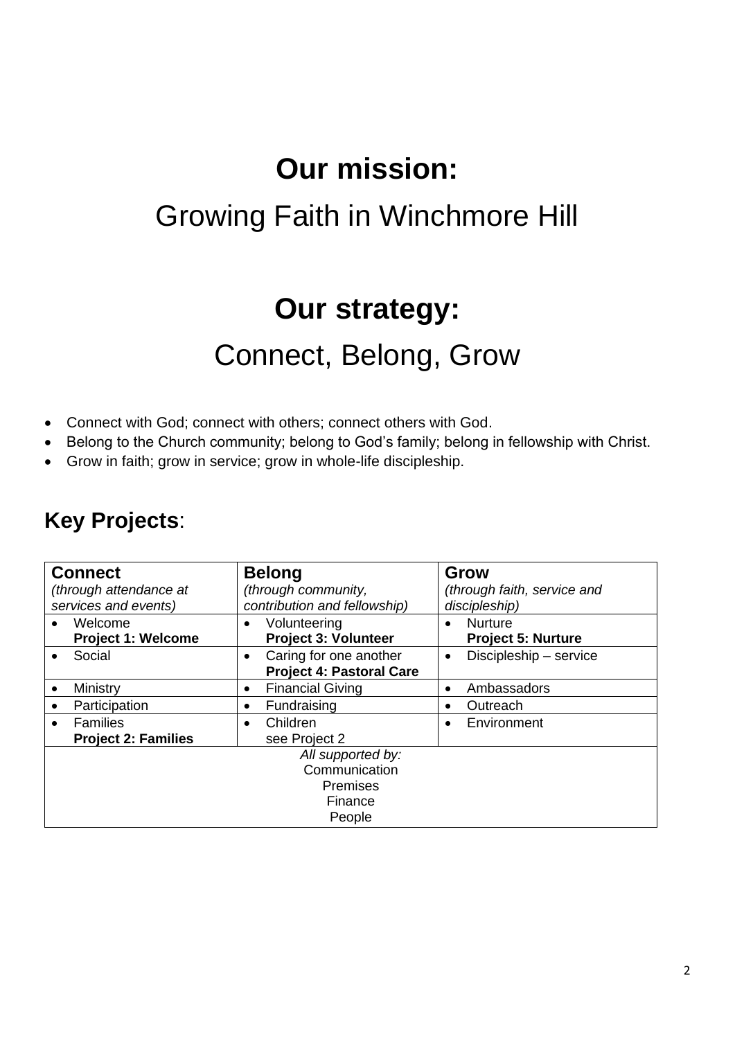# **Our mission:**

## Growing Faith in Winchmore Hill

## **Our strategy:**

## Connect, Belong, Grow

- Connect with God; connect with others; connect others with God.
- Belong to the Church community; belong to God's family; belong in fellowship with Christ.
- Grow in faith; grow in service; grow in whole-life discipleship.

### **Key Projects**:

| <b>Connect</b><br>(through attendance at<br>services and events)           | <b>Belong</b><br>(through community,<br>contribution and fellowship)   | Grow<br>(through faith, service and<br>discipleship)     |
|----------------------------------------------------------------------------|------------------------------------------------------------------------|----------------------------------------------------------|
| Welcome<br><b>Project 1: Welcome</b>                                       | Volunteering<br><b>Project 3: Volunteer</b>                            | <b>Nurture</b><br>$\bullet$<br><b>Project 5: Nurture</b> |
| Social                                                                     | Caring for one another<br>$\bullet$<br><b>Project 4: Pastoral Care</b> | Discipleship - service<br>$\bullet$                      |
| Ministry                                                                   | <b>Financial Giving</b><br>٠                                           | Ambassadors<br>$\bullet$                                 |
| Participation                                                              | Fundraising                                                            | Outreach<br>$\bullet$                                    |
| <b>Families</b><br><b>Project 2: Families</b>                              | Children<br>see Project 2                                              | Environment                                              |
| All supported by:<br>Communication<br><b>Premises</b><br>Finance<br>People |                                                                        |                                                          |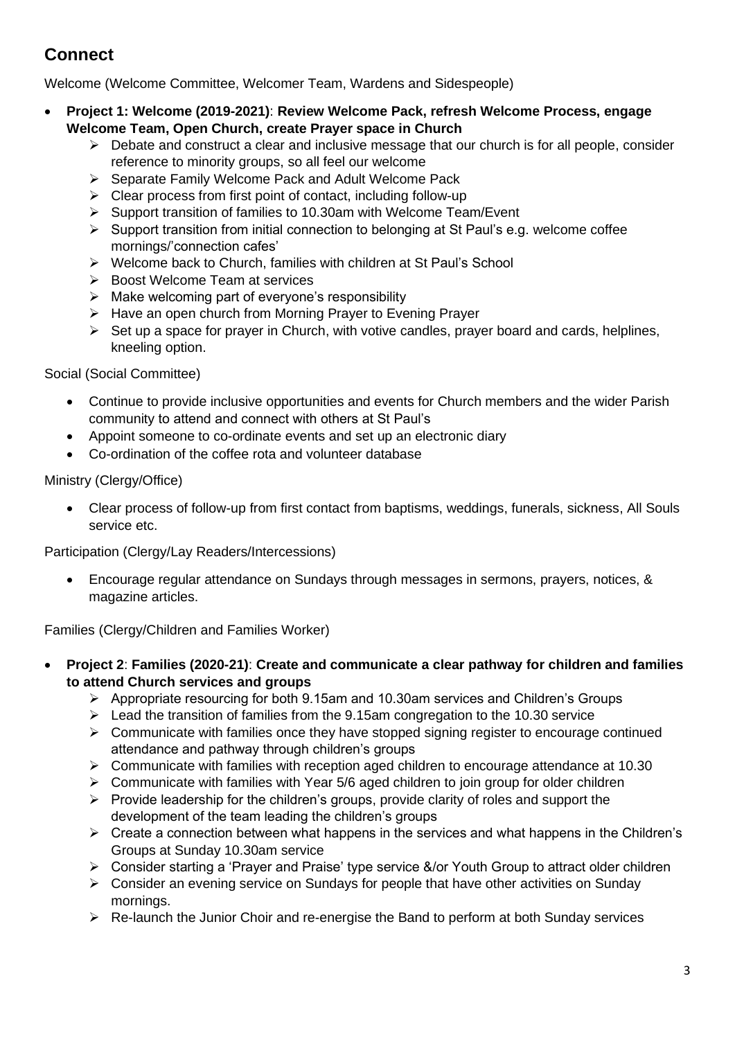### **Connect**

Welcome (Welcome Committee, Welcomer Team, Wardens and Sidespeople)

- **Project 1: Welcome (2019-2021)**: **Review Welcome Pack, refresh Welcome Process, engage Welcome Team, Open Church, create Prayer space in Church**
	- $\triangleright$  Debate and construct a clear and inclusive message that our church is for all people, consider reference to minority groups, so all feel our welcome
	- ➢ Separate Family Welcome Pack and Adult Welcome Pack
	- ➢ Clear process from first point of contact, including follow-up
	- ➢ Support transition of families to 10.30am with Welcome Team/Event
	- ➢ Support transition from initial connection to belonging at St Paul's e.g. welcome coffee mornings/'connection cafes'
	- ➢ Welcome back to Church, families with children at St Paul's School
	- ➢ Boost Welcome Team at services
	- $\triangleright$  Make welcoming part of everyone's responsibility
	- ➢ Have an open church from Morning Prayer to Evening Prayer
	- $\triangleright$  Set up a space for prayer in Church, with votive candles, prayer board and cards, helplines, kneeling option.

Social (Social Committee)

- Continue to provide inclusive opportunities and events for Church members and the wider Parish community to attend and connect with others at St Paul's
- Appoint someone to co-ordinate events and set up an electronic diary
- Co-ordination of the coffee rota and volunteer database

### Ministry (Clergy/Office)

• Clear process of follow-up from first contact from baptisms, weddings, funerals, sickness, All Souls service etc.

Participation (Clergy/Lay Readers/Intercessions)

• Encourage regular attendance on Sundays through messages in sermons, prayers, notices, & magazine articles.

Families (Clergy/Children and Families Worker)

- **Project 2**: **Families (2020-21)**: **Create and communicate a clear pathway for children and families to attend Church services and groups**
	- ➢ Appropriate resourcing for both 9.15am and 10.30am services and Children's Groups
	- $\geq$  Lead the transition of families from the 9.15am congregation to the 10.30 service
	- $\triangleright$  Communicate with families once they have stopped signing register to encourage continued attendance and pathway through children's groups
	- ➢ Communicate with families with reception aged children to encourage attendance at 10.30
	- $\triangleright$  Communicate with families with Year 5/6 aged children to join group for older children
	- $\triangleright$  Provide leadership for the children's groups, provide clarity of roles and support the development of the team leading the children's groups
	- $\triangleright$  Create a connection between what happens in the services and what happens in the Children's Groups at Sunday 10.30am service
	- ➢ Consider starting a 'Prayer and Praise' type service &/or Youth Group to attract older children
	- ➢ Consider an evening service on Sundays for people that have other activities on Sunday mornings.
	- $\triangleright$  Re-launch the Junior Choir and re-energise the Band to perform at both Sunday services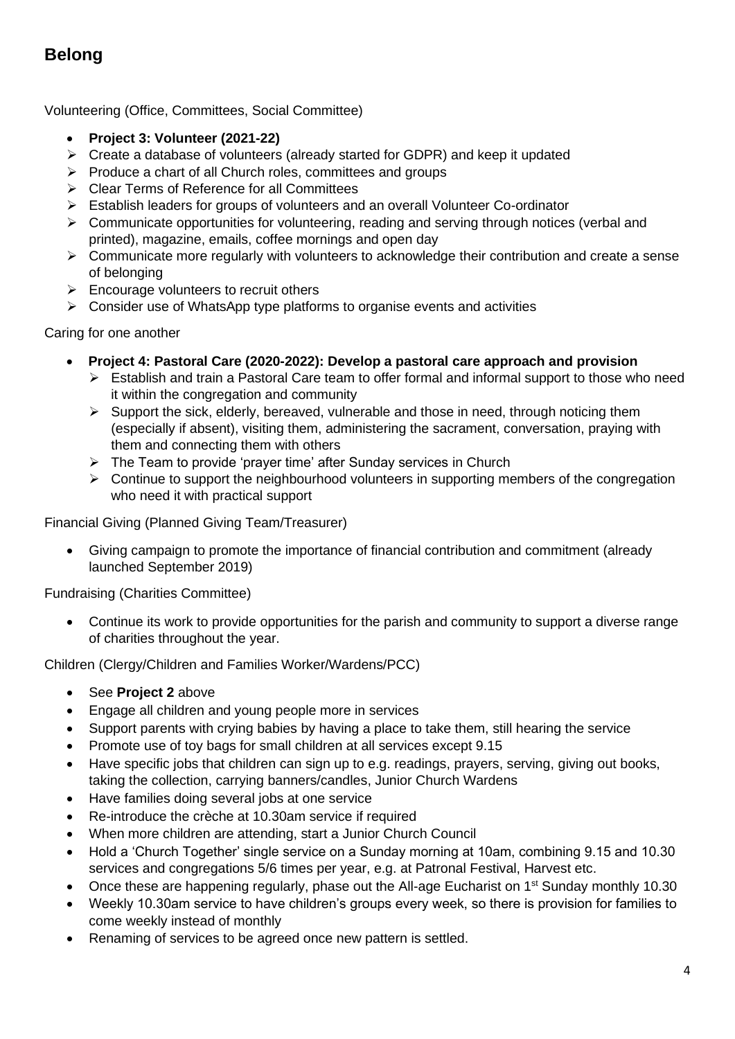### **Belong**

Volunteering (Office, Committees, Social Committee)

- **Project 3: Volunteer (2021-22)**
- ➢ Create a database of volunteers (already started for GDPR) and keep it updated
- ➢ Produce a chart of all Church roles, committees and groups
- ➢ Clear Terms of Reference for all Committees
- ➢ Establish leaders for groups of volunteers and an overall Volunteer Co-ordinator
- ➢ Communicate opportunities for volunteering, reading and serving through notices (verbal and printed), magazine, emails, coffee mornings and open day
- $\triangleright$  Communicate more regularly with volunteers to acknowledge their contribution and create a sense of belonging
- $\triangleright$  Encourage volunteers to recruit others
- $\triangleright$  Consider use of WhatsApp type platforms to organise events and activities

Caring for one another

- **Project 4: Pastoral Care (2020-2022): Develop a pastoral care approach and provision**
	- ➢ Establish and train a Pastoral Care team to offer formal and informal support to those who need it within the congregation and community
	- ➢ Support the sick, elderly, bereaved, vulnerable and those in need, through noticing them (especially if absent), visiting them, administering the sacrament, conversation, praying with them and connecting them with others
	- ➢ The Team to provide 'prayer time' after Sunday services in Church
	- ➢ Continue to support the neighbourhood volunteers in supporting members of the congregation who need it with practical support

Financial Giving (Planned Giving Team/Treasurer)

• Giving campaign to promote the importance of financial contribution and commitment (already launched September 2019)

Fundraising (Charities Committee)

• Continue its work to provide opportunities for the parish and community to support a diverse range of charities throughout the year.

Children (Clergy/Children and Families Worker/Wardens/PCC)

- See **Project 2** above
- Engage all children and young people more in services
- Support parents with crying babies by having a place to take them, still hearing the service
- Promote use of toy bags for small children at all services except 9.15
- Have specific jobs that children can sign up to e.g. readings, prayers, serving, giving out books, taking the collection, carrying banners/candles, Junior Church Wardens
- Have families doing several jobs at one service
- Re-introduce the crèche at 10.30am service if required
- When more children are attending, start a Junior Church Council
- Hold a 'Church Together' single service on a Sunday morning at 10am, combining 9.15 and 10.30 services and congregations 5/6 times per year, e.g. at Patronal Festival, Harvest etc.
- Once these are happening regularly, phase out the All-age Eucharist on 1st Sunday monthly 10.30
- Weekly 10.30am service to have children's groups every week, so there is provision for families to come weekly instead of monthly
- Renaming of services to be agreed once new pattern is settled.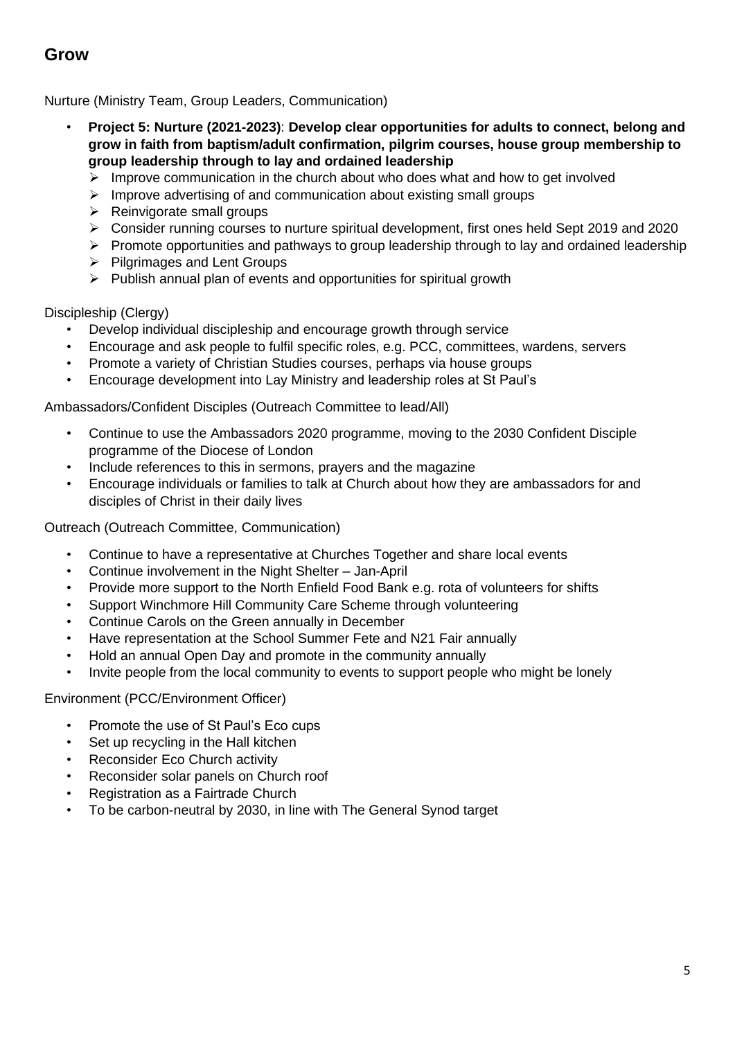### **Grow**

Nurture (Ministry Team, Group Leaders, Communication)

- **Project 5: Nurture (2021-2023)**: **Develop clear opportunities for adults to connect, belong and grow in faith from baptism/adult confirmation, pilgrim courses, house group membership to group leadership through to lay and ordained leadership**
	- $\triangleright$  Improve communication in the church about who does what and how to get involved
	- ➢ Improve advertising of and communication about existing small groups
	- $\triangleright$  Reinvigorate small groups
	- ➢ Consider running courses to nurture spiritual development, first ones held Sept 2019 and 2020
	- ➢ Promote opportunities and pathways to group leadership through to lay and ordained leadership
	- ➢ Pilgrimages and Lent Groups
	- ➢ Publish annual plan of events and opportunities for spiritual growth

Discipleship (Clergy)

- Develop individual discipleship and encourage growth through service
- Encourage and ask people to fulfil specific roles, e.g. PCC, committees, wardens, servers
- Promote a variety of Christian Studies courses, perhaps via house groups
- Encourage development into Lay Ministry and leadership roles at St Paul's

Ambassadors/Confident Disciples (Outreach Committee to lead/All)

- Continue to use the Ambassadors 2020 programme, moving to the 2030 Confident Disciple programme of the Diocese of London
- Include references to this in sermons, prayers and the magazine
- Encourage individuals or families to talk at Church about how they are ambassadors for and disciples of Christ in their daily lives

Outreach (Outreach Committee, Communication)

- Continue to have a representative at Churches Together and share local events
- Continue involvement in the Night Shelter Jan-April
- Provide more support to the North Enfield Food Bank e.g. rota of volunteers for shifts
- Support Winchmore Hill Community Care Scheme through volunteering
- Continue Carols on the Green annually in December
- Have representation at the School Summer Fete and N21 Fair annually
- Hold an annual Open Day and promote in the community annually
- Invite people from the local community to events to support people who might be lonely

Environment (PCC/Environment Officer)

- Promote the use of St Paul's Eco cups
- Set up recycling in the Hall kitchen
- Reconsider Eco Church activity
- Reconsider solar panels on Church roof
- Registration as a Fairtrade Church
- To be carbon-neutral by 2030, in line with The General Synod target